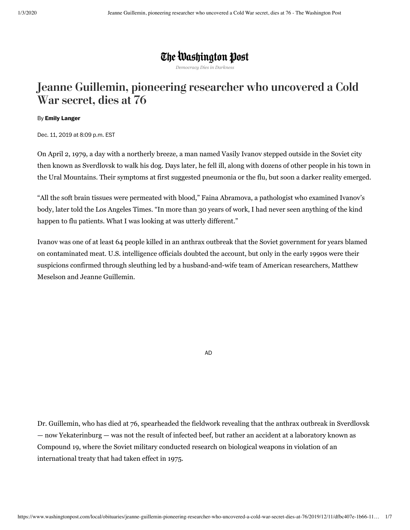## The Washington Post

*Democracy Dies in Darkness*

# Jeanne Guillemin, pioneering researcher who uncovered a Cold War secret, dies at 76

#### By **Emily [Langer](https://www.washingtonpost.com/people/emily-langer/)**

Dec. 11, 2019 at 8:09 p.m. EST

On April 2, 1979, a day with a northerly breeze, a man named Vasily Ivanov stepped outside in the Soviet city then known as Sverdlovsk to walk his dog. Days later, he fell ill, along with dozens of other people in his town in the Ural Mountains. Their symptoms at first suggested pneumonia or the flu, but soon a darker reality emerged.

"All the soft brain tissues were permeated with blood," Faina Abramova, a pathologist who examined Ivanov's body, later told the Los Angeles Times. "In more than 30 years of work, I had never seen anything of the kind happen to flu patients. What I was looking at was utterly different."

Ivanov was one of at least 64 people killed in an anthrax outbreak that the Soviet government for years blamed on contaminated meat. U.S. intelligence officials doubted the account, but only in the early 1990s were their suspicions confirmed through sleuthing led by a husband-and-wife team of American researchers, Matthew Meselson and Jeanne Guillemin.

AD

Dr. Guillemin, who has died at 76, spearheaded the fieldwork revealing that the anthrax outbreak in Sverdlovsk — now Yekaterinburg — was not the result of infected beef, but rather an accident at a laboratory known as Compound 19, where the Soviet military conducted research on biological weapons in violation of an international treaty that had taken effect in 1975.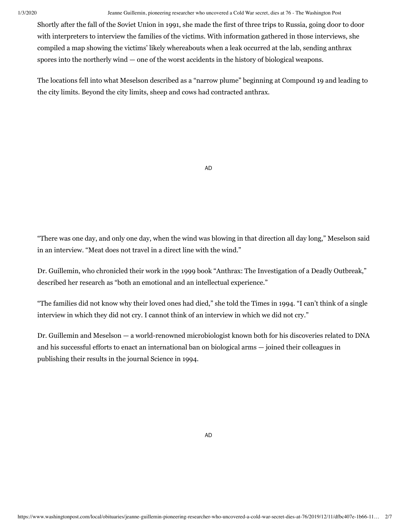1/3/2020 Jeanne Guillemin, pioneering researcher who uncovered a Cold War secret, dies at 76 - The Washington Post

Shortly after the fall of the Soviet Union in 1991, she made the first of three trips to Russia, going door to door with interpreters to interview the families of the victims. With information gathered in those interviews, she compiled a map showing the victims' likely whereabouts when a leak occurred at the lab, sending anthrax spores into the northerly wind — one of the worst accidents in the history of biological weapons.

The locations fell into what Meselson described as a "narrow plume" beginning at Compound 19 and leading to the city limits. Beyond the city limits, sheep and cows had contracted anthrax.

AD

"There was one day, and only one day, when the wind was blowing in that direction all day long," Meselson said in an interview. "Meat does not travel in a direct line with the wind."

Dr. Guillemin, who chronicled their work in the 1999 book "Anthrax: The Investigation of a Deadly Outbreak," described her research as "both an emotional and an intellectual experience."

"The families did not know why their loved ones had died," she told the Times in 1994. "I can't think of a single interview in which they did not cry. I cannot think of an interview in which we did not cry."

Dr. Guillemin and Meselson — a world-renowned microbiologist known both for his discoveries related to DNA and his successful efforts to enact an international ban on biological arms — joined their colleagues in publishing their results in the journal Science in 1994.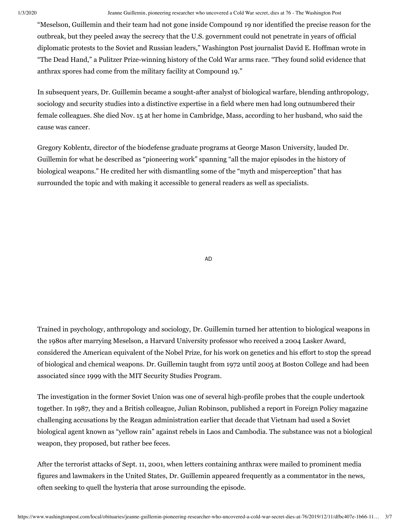#### 1/3/2020 Jeanne Guillemin, pioneering researcher who uncovered a Cold War secret, dies at 76 - The Washington Post

"Meselson, Guillemin and their team had not gone inside Compound 19 nor identified the precise reason for the outbreak, but they peeled away the secrecy that the U.S. government could not penetrate in years of official diplomatic protests to the Soviet and Russian leaders," Washington Post journalist David E. Hoffman wrote in "The Dead Hand," a Pulitzer Prize-winning history of the Cold War arms race. "They found solid evidence that anthrax spores had come from the military facility at Compound 19."

In subsequent years, Dr. Guillemin became a sought-after analyst of biological warfare, blending anthropology, sociology and security studies into a distinctive expertise in a field where men had long outnumbered their female colleagues. She died Nov. 15 at her home in Cambridge, Mass, according to her husband, who said the cause was cancer.

Gregory Koblentz, director of the biodefense graduate programs at George Mason University, lauded Dr. Guillemin for what he described as "pioneering work" spanning "all the major episodes in the history of biological weapons." He credited her with dismantling some of the "myth and misperception" that has surrounded the topic and with making it accessible to general readers as well as specialists.

AD

Trained in psychology, anthropology and sociology, Dr. Guillemin turned her attention to biological weapons in the 1980s after marrying Meselson, a Harvard University professor who received a 2004 Lasker Award, considered the American equivalent of the Nobel Prize, for his work on genetics and his effort to stop the spread of biological and chemical weapons. Dr. Guillemin taught from 1972 until 2005 at Boston College and had been associated since 1999 with the MIT Security Studies Program.

The investigation in the former Soviet Union was one of several high-profile probes that the couple undertook together. In 1987, they and a British colleague, Julian Robinson, published a report in Foreign Policy magazine challenging accusations by the Reagan administration earlier that decade that Vietnam had used a Soviet biological agent known as "yellow rain" against rebels in Laos and Cambodia. The substance was not a biological weapon, they proposed, but rather bee feces.

After the terrorist attacks of Sept. 11, 2001, when letters containing anthrax were mailed to prominent media figures and lawmakers in the United States, Dr. Guillemin appeared frequently as a commentator in the news, often seeking to quell the hysteria that arose surrounding the episode.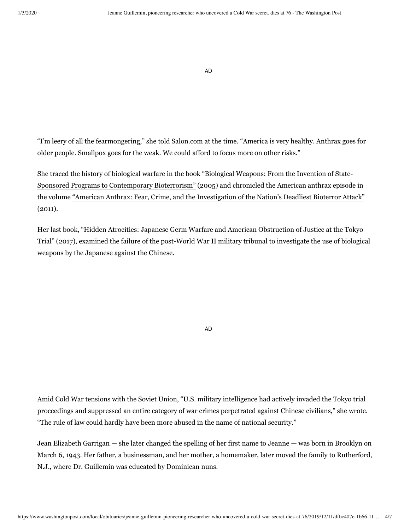AD

"I'm leery of all the fearmongering," she told Salon.com at the time. "America is very healthy. Anthrax goes for older people. Smallpox goes for the weak. We could afford to focus more on other risks."

[She traced the history of biological warfare in the book "Biological Weapons: From the Invention of State-](https://read.amazon.com/kp/embed?asin=B006QNNHU0&preview=newtab&linkCode=kpe&ref_=cm_sw_r_kb_dp_fdz8DbPW9GAWT&tag=thewaspos09-20)Sponsored Programs to Contemporary Bioterrorism" (2005) and chronicled the American anthrax episode in the volume ["American Anthrax: Fear, Crime, and the Investigation of the Nation's Deadliest Bioterror Attack"](https://read.amazon.com/kp/embed?asin=B004SHEL0G&preview=newtab&linkCode=kpe&ref_=cm_sw_r_kb_dp_Efz8DbVNA9F91&tag=thewaspos09-20) (2011).

Her last book, "Hidden Atrocities: Japanese Germ Warfare and American Obstruction of Justice at the Tokyo Trial" (2017), examined the failure of the post-World War II military tribunal to investigate the use of biological weapons by the Japanese against the Chinese.

AD

Amid Cold War tensions with the Soviet Union, "U.S. military intelligence had actively invaded the Tokyo trial proceedings and suppressed an entire category of war crimes perpetrated against Chinese civilians," she wrote. "The rule of law could hardly have been more abused in the name of national security."

Jean Elizabeth Garrigan — she later changed the spelling of her first name to Jeanne — was born in Brooklyn on March 6, 1943. Her father, a businessman, and her mother, a homemaker, later moved the family to Rutherford, N.J., where Dr. Guillemin was educated by Dominican nuns.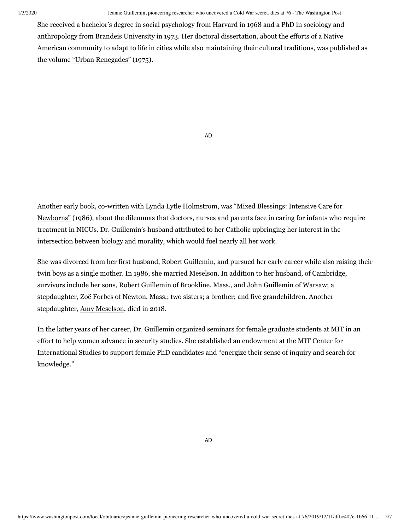#### 1/3/2020 Jeanne Guillemin, pioneering researcher who uncovered a Cold War secret, dies at 76 - The Washington Post

She received a bachelor's degree in social psychology from Harvard in 1968 and a PhD in sociology and anthropology from Brandeis University in 1973. Her doctoral dissertation, about the efforts of a Native American community to adapt to life in cities while also maintaining their cultural traditions, was published as the volume ["Urban Renegades"](https://www.amazon.com/gp/product/0231038844/ref=dbs_a_def_rwt_hsch_vapi_taft_p1_i2) (1975).

AD

[Another early book, co-written with Lynda Lytle Holmstrom, was "Mixed Blessings: Intensive Care for](https://www.amazon.com/gp/product/0195066596/ref=dbs_a_def_rwt_hsch_vapi_taft_p1_i4) Newborns" (1986), about the dilemmas that doctors, nurses and parents face in caring for infants who require treatment in NICUs. Dr. Guillemin's husband attributed to her Catholic upbringing her interest in the intersection between biology and morality, which would fuel nearly all her work.

She was divorced from her first husband, Robert Guillemin, and pursued her early career while also raising their twin boys as a single mother. In 1986, she married Meselson. In addition to her husband, of Cambridge, survivors include her sons, Robert Guillemin of Brookline, Mass., and John Guillemin of Warsaw; a stepdaughter, Zoë Forbes of Newton, Mass.; two sisters; a brother; and five grandchildren. Another stepdaughter, [Amy Meselson,](https://www.nytimes.com/2018/08/06/obituaries/amy-meselson-lawyer-who-defended-young-immigrants-dies-at-46.html) died in 2018.

In the latter years of her career, Dr. Guillemin organized seminars for female graduate students at MIT in an effort to help women advance in security studies. She established an endowment at the MIT Center for International Studies to support female PhD candidates and "energize their sense of inquiry and search for knowledge."